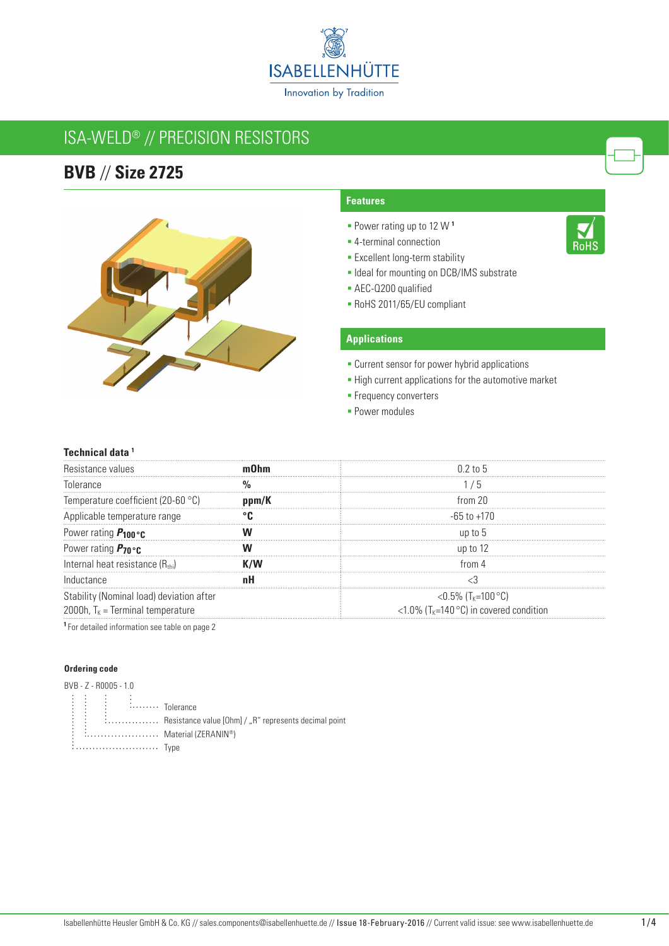

# ISA-WELD® // Precision resistors

## **BVB** // **Size 2725**



#### **Features**

- Power rating up to 12 W **<sup>1</sup>**
- 4-terminal connection
- **Excellent long-term stability**
- **Ideal for mounting on DCB/IMS substrate**
- AEC-Q200 qualified
- RoHS 2011/65/EU compliant

### **Applications**

- **Current sensor for power hybrid applications**
- **-** High current applications for the automotive market
- **Frequency converters**
- **Power modules**

#### **Technical data 1**

| Resistance values                            | $0.2$ to 5                                    |
|----------------------------------------------|-----------------------------------------------|
| Inlerance                                    |                                               |
| Temperature coefficient (20-60 °C)           | from $20$                                     |
| Applicable temperature range                 | -65 to +170                                   |
| Power rating $P_{100}$ or                    |                                               |
| Power rating $P_{70}$ °C                     | up to 12                                      |
| Internal heat resistance (R <sub>thi</sub> ) |                                               |
| Inductance                                   |                                               |
| Stability (Nominal load) deviation after     | <0.5% $(T_{K}=100\degree C)$                  |
| 2000h, $T_k$ = Terminal temperature          | <1.0% ( $T_{K}$ =140 °C) in covered condition |

**<sup>1</sup>**For detailed information see table on page 2

#### **Ordering code**

| BVB - Z - R0005 - 1.0 |  |               |                                                                                                                                                                         |
|-----------------------|--|---------------|-------------------------------------------------------------------------------------------------------------------------------------------------------------------------|
|                       |  |               |                                                                                                                                                                         |
|                       |  |               | $\begin{array}{ccccccccc}\n\vdots & \vdots & \vdots & \vdots & \vdots & \cdots & \vdots \\ \vdots & \vdots & \vdots & \vdots & \cdots & \vdots & \vdots \\ \end{array}$ |
| ÷                     |  |               | $\vdots$ $\vdots$ $\ldots$ $\ldots$ $\ldots$ . Resistance value [Ohm] / "R" represents decimal point                                                                    |
| ٠<br>÷                |  |               | Material (ZERANIN®)                                                                                                                                                     |
|                       |  | <i>i</i> Type |                                                                                                                                                                         |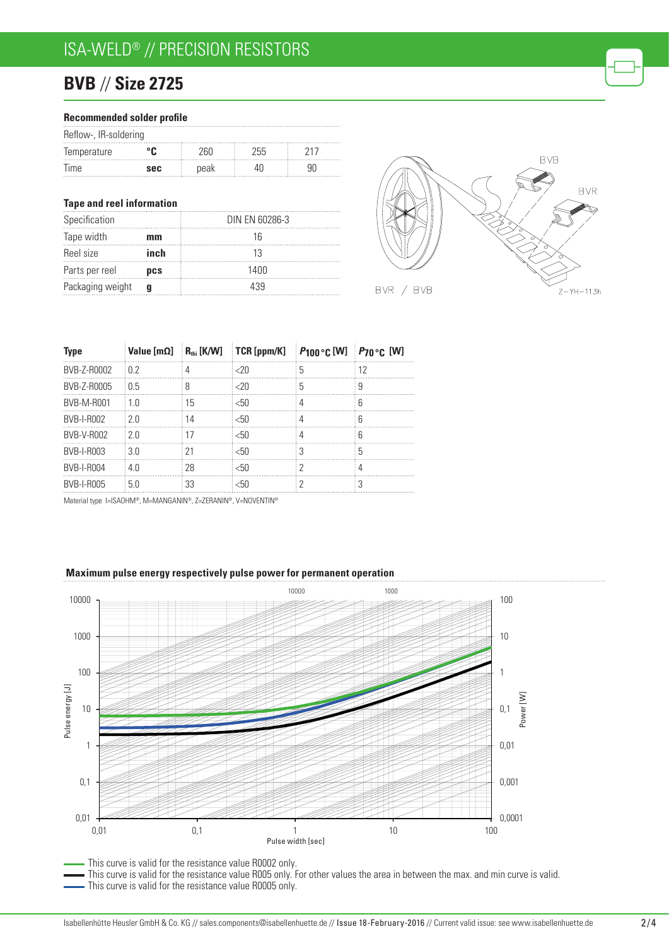# ISA-WELD® // Precision resistors

# **BVB** // **Size 2725**

| Recommended solder profile |  |  |
|----------------------------|--|--|
|----------------------------|--|--|

| Reflow-, IR-soldering |            |      |     |  |  |  |
|-----------------------|------------|------|-----|--|--|--|
| Temperature           |            |      | 255 |  |  |  |
| <b>Ime</b>            | <b>SAC</b> | peak |     |  |  |  |

#### **Tape and reel information**

| Specification    |      | DIN EN 60286-3 |
|------------------|------|----------------|
| Tape width       | mm   |                |
| Reel size        | inch |                |
| Parts per reel   | DCS  | 1400           |
| Packaging weight |      | 439            |



| <b>Type</b>       |       |    | Value $[m\Omega]$ $R_{\text{th}}$ [K/W] $TCR$ [ppm/K] | <b>P100 °C [W]</b> P70 °C [W] |    |
|-------------------|-------|----|-------------------------------------------------------|-------------------------------|----|
| BVB-Z-R0002       | .02   |    | $<$ 20                                                |                               | 12 |
| BVB-Z-R0005       | ់ ೧ 5 |    | $<$ 20                                                |                               | q  |
| <b>BVB-M-R001</b> | 1 N   | 15 | < 50                                                  |                               |    |
| BVB-I-R002        | ፡ 2 በ | 14 | < 50                                                  |                               |    |
| BVB-V-R002        | 2 O   | 17 | < 50                                                  |                               | հ  |
| BVB-I-R003        | 30    | 21 | < 50                                                  |                               | 5  |
| <b>BVB-I-R004</b> | 4 N   | 28 | < 50                                                  |                               |    |
| <b>BVB-I-R005</b> | 50    | 33 | <50                                                   |                               |    |

Material type I=ISAOHM®, M=MANGANIN®, Z=ZERANIN®, V=NOVENTIN®

#### **Maximum pulse energy respectively pulse power for permanent operation**



This curve is valid for the resistance value R005 only. For other values the area in between the max. and min curve is valid. This curve is valid for the resistance value R0005 only.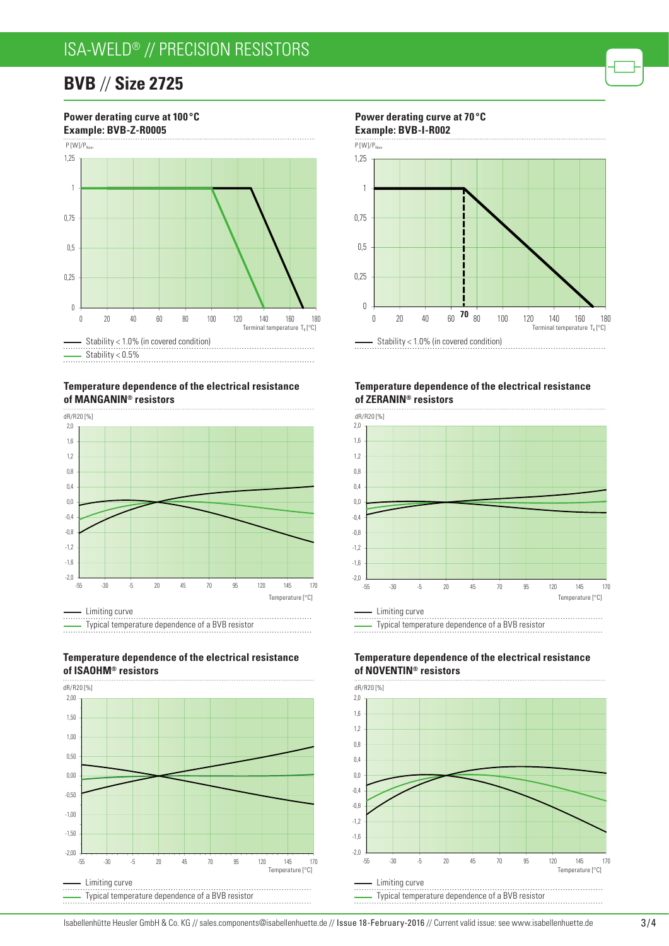## ISA-WELD® // Precision resistors

### **BVB** // **Size 2725**



**Temperature dependence of the electrical resistance of manganin® resistors**



![](_page_2_Figure_5.jpeg)

![](_page_2_Figure_6.jpeg)

![](_page_2_Figure_7.jpeg)

![](_page_2_Figure_8.jpeg)

#### **Temperature dependence of the electrical resistance of ZERanin® resistors**

![](_page_2_Figure_10.jpeg)

![](_page_2_Figure_11.jpeg)

#### **Temperature dependence of the electrical resistance of NOVENTin® resistors**